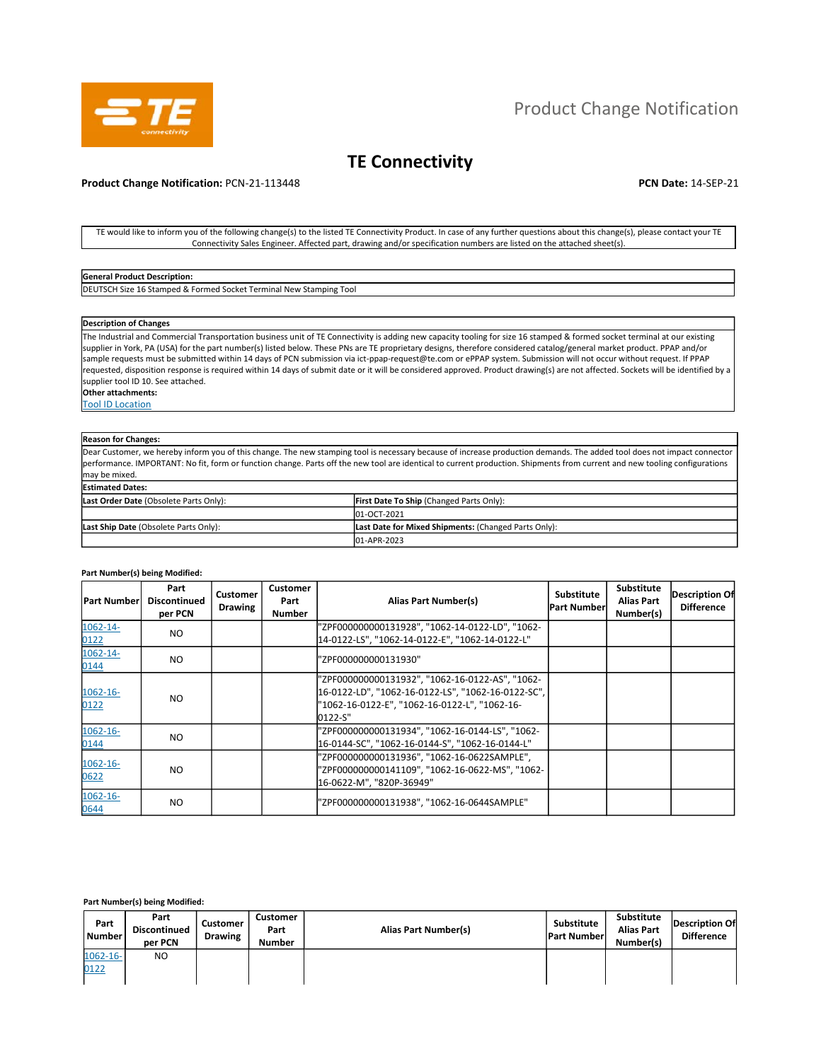

# **TE Connectivity**

## **Product Change Notification:** PCN-21-113448 **PCN Date:** 14-SEP-21

TE would like to inform you of the following change(s) to the listed TE Connectivity Product. In case of any further questions about this change(s), please contact your TE Connectivity Sales Engineer. Affected part, drawing and/or specification numbers are listed on the attached sheet(s).

### **General Product Description:**

DEUTSCH Size 16 Stamped & Formed Socket Terminal New Stamping Tool

#### **Description of Changes**

The Industrial and Commercial Transportation business unit of TE Connectivity is adding new capacity tooling for size 16 stamped & formed socket terminal at our existing supplier in York, PA (USA) for the part number(s) listed below. These PNs are TE proprietary designs, therefore considered catalog/general market product. PPAP and/or sample requests must be submitted within 14 days of PCN submission via ict-ppap-request@te.com or ePPAP system. Submission will not occur without request. If PPAP requested, disposition response is required within 14 days of submit date or it will be considered approved. Product drawing(s) are not affected. Sockets will be identified by a supplier tool ID 10. See attached.

**Other attachments:**  Tool ID Location

# **Reason for Changes:**

Dear Customer, we hereby inform you of this change. The new stamping tool is necessary because of increase production demands. The added tool does not impact connector performance. IMPORTANT: No fit, form or function change. Parts off the new tool are identical to current production. Shipments from current and new tooling configurations may be mixed. **Estimated Dates:** 

| Last Order Date (Obsolete Parts Only): | <b>First Date To Ship (Changed Parts Only):</b>      |
|----------------------------------------|------------------------------------------------------|
|                                        | 01-OCT-2021                                          |
| Last Ship Date (Obsolete Parts Only):  | Last Date for Mixed Shipments: (Changed Parts Only): |
|                                        | 01-APR-2023                                          |

#### **Part Number(s) being Modified:**

| <b>Part Number</b>  | Part<br><b>Discontinued</b><br>per PCN | Customer<br><b>Drawing</b> | Customer<br>Part<br><b>Number</b> | Alias Part Number(s)                                                                                                                                              | <b>Substitute</b><br><b>Part Number</b> | Substitute<br><b>Alias Part</b><br>Number(s) | <b>Description Of</b><br><b>Difference</b> |
|---------------------|----------------------------------------|----------------------------|-----------------------------------|-------------------------------------------------------------------------------------------------------------------------------------------------------------------|-----------------------------------------|----------------------------------------------|--------------------------------------------|
| 1062-14-<br>0122    | NO.                                    |                            |                                   | "ZPF000000000131928", "1062-14-0122-LD", "1062-<br>14-0122-LS", "1062-14-0122-E", "1062-14-0122-L"                                                                |                                         |                                              |                                            |
| 1062-14-<br>0144    | NO.                                    |                            |                                   | "ZPF000000000131930"                                                                                                                                              |                                         |                                              |                                            |
| $1062 - 16$<br>0122 | <b>NO</b>                              |                            |                                   | "ZPF000000000131932", "1062-16-0122-AS", "1062-<br>16-0122-LD", "1062-16-0122-LS", "1062-16-0122-SC",<br>"1062-16-0122-E", "1062-16-0122-L", "1062-16-<br>0122-S" |                                         |                                              |                                            |
| $1062 - 16$<br>0144 | NO.                                    |                            |                                   | "ZPF000000000131934", "1062-16-0144-LS", "1062-<br>16-0144-SC", "1062-16-0144-S", "1062-16-0144-L"                                                                |                                         |                                              |                                            |
| $1062 - 16$<br>0622 | NO.                                    |                            |                                   | "ZPF000000000131936", "1062-16-0622SAMPLE",<br>"ZPF000000000141109", "1062-16-0622-MS", "1062-<br>16-0622-M", "820P-36949"                                        |                                         |                                              |                                            |
| $1062 - 16$<br>0644 | NO.                                    |                            |                                   | "ZPF000000000131938", "1062-16-0644SAMPLE"                                                                                                                        |                                         |                                              |                                            |

#### **Part Number(s) being Modified:**

| Part<br>l Number      | Part<br><b>Discontinued</b><br>per PCN | Customer<br><b>Drawing</b> | Customer<br>Part<br><b>Number</b> | Alias Part Number(s) | Substitute<br><b>Part Number</b> | Substitute<br><b>Alias Part</b><br>Number(s) | Description Of<br><b>Difference</b> |
|-----------------------|----------------------------------------|----------------------------|-----------------------------------|----------------------|----------------------------------|----------------------------------------------|-------------------------------------|
| $1062 - 16 -$<br>0122 | N <sub>O</sub>                         |                            |                                   |                      |                                  |                                              |                                     |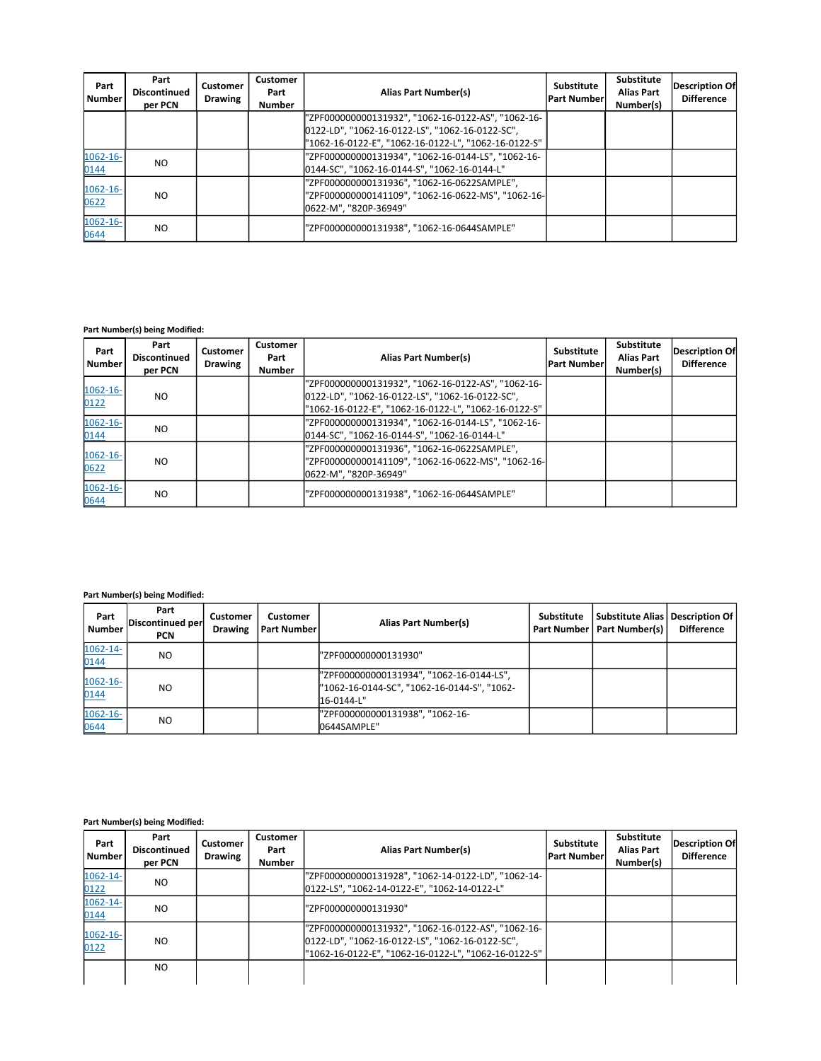| Part<br><b>Number</b> | Part<br><b>Discontinued</b><br>per PCN | <b>Customer</b><br><b>Drawing</b> | <b>Customer</b><br>Part<br><b>Number</b> | Alias Part Number(s)                                                                                                       | <b>Substitute</b><br><b>Part Number</b> | <b>Substitute</b><br><b>Alias Part</b><br>Number(s) | <b>Description Of</b><br><b>Difference</b> |
|-----------------------|----------------------------------------|-----------------------------------|------------------------------------------|----------------------------------------------------------------------------------------------------------------------------|-----------------------------------------|-----------------------------------------------------|--------------------------------------------|
|                       |                                        |                                   |                                          | "ZPF000000000131932", "1062-16-0122-AS", "1062-16-                                                                         |                                         |                                                     |                                            |
|                       |                                        |                                   |                                          | 0122-LD", "1062-16-0122-LS", "1062-16-0122-SC",<br>"1062-16-0122-E", "1062-16-0122-L", "1062-16-0122-S"                    |                                         |                                                     |                                            |
| $1062 - 16 -$         | NO.                                    |                                   |                                          | "ZPF000000000131934", "1062-16-0144-LS", "1062-16-                                                                         |                                         |                                                     |                                            |
| 0144                  |                                        |                                   |                                          | 0144-SC", "1062-16-0144-S", "1062-16-0144-L"                                                                               |                                         |                                                     |                                            |
| $1062 - 16$<br>0622   | NO.                                    |                                   |                                          | "ZPF000000000131936", "1062-16-0622SAMPLE",<br>"ZPF000000000141109", "1062-16-0622-MS", "1062-16-<br>0622-M", "820P-36949" |                                         |                                                     |                                            |
| $1062 - 16 -$<br>0644 | NO.                                    |                                   |                                          | "ZPF000000000131938", "1062-16-0644SAMPLE"                                                                                 |                                         |                                                     |                                            |

## **Part Number(s) being Modified:**

| Part<br><b>Number</b> | Part<br><b>Discontinued</b><br>per PCN | <b>Customer</b><br><b>Drawing</b> | <b>Customer</b><br>Part<br><b>Number</b> | <b>Alias Part Number(s)</b>                                                                                                                                   | Substitute<br><b>Part Number</b> | Substitute<br><b>Alias Part</b><br>Number(s) | <b>Description Of</b><br><b>Difference</b> |
|-----------------------|----------------------------------------|-----------------------------------|------------------------------------------|---------------------------------------------------------------------------------------------------------------------------------------------------------------|----------------------------------|----------------------------------------------|--------------------------------------------|
| 1062-16-<br>0122      | NO.                                    |                                   |                                          | "ZPF000000000131932", "1062-16-0122-AS", "1062-16-<br>0122-LD", "1062-16-0122-LS", "1062-16-0122-SC",<br>"1062-16-0122-E", "1062-16-0122-L", "1062-16-0122-S" |                                  |                                              |                                            |
| $1062 - 16 -$<br>0144 | NO.                                    |                                   |                                          | "ZPF000000000131934", "1062-16-0144-LS", "1062-16-<br>0144-SC", "1062-16-0144-S", "1062-16-0144-L"                                                            |                                  |                                              |                                            |
| $1062 - 16 -$<br>0622 | NO.                                    |                                   |                                          | "ZPF000000000131936", "1062-16-0622SAMPLE",<br>"ZPF000000000141109", "1062-16-0622-MS", "1062-16-<br>0622-M", "820P-36949"                                    |                                  |                                              |                                            |
| $1062 - 16 -$<br>0644 | NO.                                    |                                   |                                          | "ZPF000000000131938", "1062-16-0644SAMPLE"                                                                                                                    |                                  |                                              |                                            |

# **Part Number(s) being Modified:**

| Part<br><b>Number</b> | Part<br>Discontinued per<br>PCN | Customer<br><b>Drawing</b> | Customer<br><b>Part Number</b> | Alias Part Number(s)                                                                                  | <b>Substitute</b> | <b>Substitute Alias   Description Of  </b><br>Part Number   Part Number(s) | <b>Difference</b> |
|-----------------------|---------------------------------|----------------------------|--------------------------------|-------------------------------------------------------------------------------------------------------|-------------------|----------------------------------------------------------------------------|-------------------|
| 1062-14-<br>0144      | N <sub>O</sub>                  |                            |                                | "ZPF000000000131930"                                                                                  |                   |                                                                            |                   |
| $1062 - 16 -$<br>0144 | N <sub>O</sub>                  |                            |                                | "ZPF000000000131934", "1062-16-0144-LS",<br>"1062-16-0144-SC", "1062-16-0144-S", "1062-<br>16-0144-L" |                   |                                                                            |                   |
| 1062-16-<br>0644      | NO.                             |                            |                                | "ZPF000000000131938", "1062-16-<br>0644SAMPLE"                                                        |                   |                                                                            |                   |

# **Part Number(s) being Modified:**

| Part<br><b>Number</b> | Part<br><b>Discontinued</b><br>per PCN | Customer<br><b>Drawing</b> | <b>Customer</b><br>Part<br><b>Number</b> | <b>Alias Part Number(s)</b>                                                                                                                                   | Substitute<br><b>Part Number</b> | Substitute<br><b>Alias Part</b><br>Number(s) | <b>Description Of</b><br><b>Difference</b> |
|-----------------------|----------------------------------------|----------------------------|------------------------------------------|---------------------------------------------------------------------------------------------------------------------------------------------------------------|----------------------------------|----------------------------------------------|--------------------------------------------|
| 1062-14-<br>0122      | NO.                                    |                            |                                          | "ZPF000000000131928", "1062-14-0122-LD", "1062-14-<br>0122-LS", "1062-14-0122-E", "1062-14-0122-L"                                                            |                                  |                                              |                                            |
| 1062-14-<br>0144      | NO.                                    |                            |                                          | "ZPF000000000131930"                                                                                                                                          |                                  |                                              |                                            |
| $1062 - 16 -$<br>0122 | NO.                                    |                            |                                          | "ZPF000000000131932", "1062-16-0122-AS", "1062-16-<br>0122-LD", "1062-16-0122-LS", "1062-16-0122-SC",<br>"1062-16-0122-E", "1062-16-0122-L", "1062-16-0122-S" |                                  |                                              |                                            |
|                       | NO.                                    |                            |                                          |                                                                                                                                                               |                                  |                                              |                                            |